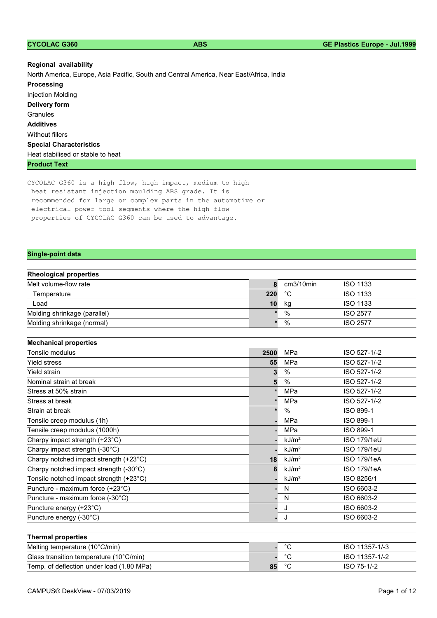| <b>CYCOLAC G360</b> |  |  |  |  |
|---------------------|--|--|--|--|

| Regional availability                                                                   |
|-----------------------------------------------------------------------------------------|
| North America, Europe, Asia Pacific, South and Central America, Near East/Africa, India |
| <b>Processing</b>                                                                       |
| Injection Molding                                                                       |
| Delivery form                                                                           |
| Granules                                                                                |
| <b>Additives</b>                                                                        |
| Without fillers                                                                         |
| <b>Special Characteristics</b>                                                          |
| Heat stabilised or stable to heat                                                       |
| <b>Product Text</b>                                                                     |

CYCOLAC G360 is a high flow, high impact, medium to high heat resistant injection moulding ABS grade. It is recommended for large or complex parts in the automotive or electrical power tool segments where the high flow properties of CYCOLAC G360 can be used to advantage.

## Single-point data

| <b>Rheological properties</b> |     |           |                 |  |  |  |
|-------------------------------|-----|-----------|-----------------|--|--|--|
| Melt volume-flow rate         |     | cm3/10min | <b>ISO 1133</b> |  |  |  |
| Temperature                   | 220 | °С        | <b>ISO 1133</b> |  |  |  |
| Load                          | 10  | kg        | <b>ISO 1133</b> |  |  |  |
| Molding shrinkage (parallel)  |     | $\%$      | <b>ISO 2577</b> |  |  |  |
| Molding shrinkage (normal)    |     | %         | <b>ISO 2577</b> |  |  |  |

| <b>Mechanical properties</b>            |      |                   |                    |
|-----------------------------------------|------|-------------------|--------------------|
| Tensile modulus                         | 2500 | MPa               | ISO 527-1/-2       |
| <b>Yield stress</b>                     | 55   | MPa               | ISO 527-1/-2       |
| Yield strain                            |      | %                 | ISO 527-1/-2       |
| Nominal strain at break                 | 5    | %                 | ISO 527-1/-2       |
| Stress at 50% strain                    |      | MPa               | ISO 527-1/-2       |
| Stress at break                         |      | MPa               | ISO 527-1/-2       |
| Strain at break                         |      | $\%$              | ISO 899-1          |
| Tensile creep modulus (1h)              |      | MPa               | ISO 899-1          |
| Tensile creep modulus (1000h)           |      | <b>MPa</b>        | ISO 899-1          |
| Charpy impact strength (+23°C)          |      | kJ/m <sup>2</sup> | <b>ISO 179/1eU</b> |
| Charpy impact strength (-30°C)          |      | kJ/m <sup>2</sup> | ISO 179/1eU        |
| Charpy notched impact strength (+23°C)  | 18   | kJ/m <sup>2</sup> | ISO 179/1eA        |
| Charpy notched impact strength (-30°C)  | 8    | kJ/m <sup>2</sup> | <b>ISO 179/1eA</b> |
| Tensile notched impact strength (+23°C) |      | kJ/m <sup>2</sup> | ISO 8256/1         |
| Puncture - maximum force (+23°C)        |      | N                 | ISO 6603-2         |
| Puncture - maximum force (-30°C)        |      | N                 | ISO 6603-2         |
| Puncture energy (+23°C)                 |      | J                 | ISO 6603-2         |
| Puncture energy (-30°C)                 |      | J                 | ISO 6603-2         |
|                                         |      |                   |                    |
| <b>Thermal properties</b>               |      |                   |                    |
| Melting temperature (10°C/min)          |      | $^{\circ}C$       | ISO 11357-1/-3     |
| Glass transition temperature (10°C/min) |      | $^{\circ}$ C      | ISO 11357-1/-2     |

Temp. of deflection under load (1.80 MPa) 85 °C ISO 75-1/-2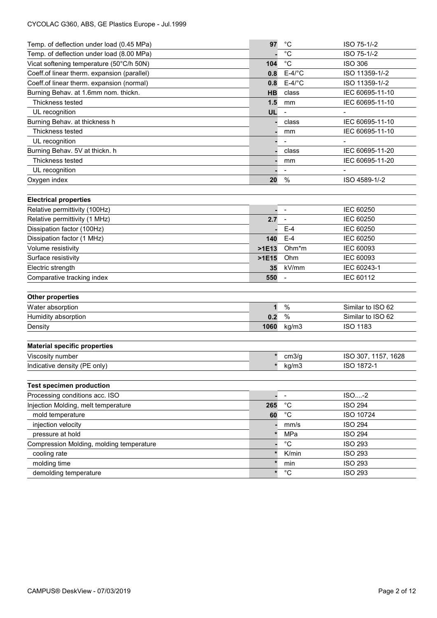## CYCOLAC G360, ABS, GE Plastics Europe - Jul.1999

| Temp. of deflection under load (0.45 MPa)   | 97           | $^{\circ}$ C                 | ISO 75-1/-2         |  |  |
|---------------------------------------------|--------------|------------------------------|---------------------|--|--|
| Temp. of deflection under load (8.00 MPa)   |              | $^{\circ}C$                  | ISO 75-1/-2         |  |  |
| Vicat softening temperature (50°C/h 50N)    | 104          | $^{\circ}C$                  | <b>ISO 306</b>      |  |  |
| Coeff.of linear therm. expansion (parallel) | 0.8          | $E-4$ /°C                    | ISO 11359-1/-2      |  |  |
| Coeff.of linear therm. expansion (normal)   | 0.8          | $E-4$ /°C                    | ISO 11359-1/-2      |  |  |
| Burning Behav. at 1.6mm nom. thickn.        | HB           | class                        | IEC 60695-11-10     |  |  |
| Thickness tested                            | 1.5          | mm                           | IEC 60695-11-10     |  |  |
| UL recognition                              | UL           | $\overline{a}$               |                     |  |  |
| Burning Behav. at thickness h               |              | class                        | IEC 60695-11-10     |  |  |
| Thickness tested                            |              | mm                           | IEC 60695-11-10     |  |  |
| UL recognition                              |              |                              |                     |  |  |
| Burning Behav. 5V at thickn. h              |              | class                        | IEC 60695-11-20     |  |  |
| Thickness tested                            |              | mm                           | IEC 60695-11-20     |  |  |
| UL recognition                              |              |                              |                     |  |  |
| Oxygen index                                | 20           | $\%$                         | ISO 4589-1/-2       |  |  |
| <b>Electrical properties</b>                |              |                              |                     |  |  |
| Relative permittivity (100Hz)               |              |                              | IEC 60250           |  |  |
| Relative permittivity (1 MHz)               | 2.7          |                              | IEC 60250           |  |  |
| Dissipation factor (100Hz)                  |              | $E-4$                        | IEC 60250           |  |  |
| Dissipation factor (1 MHz)                  | 140          | $E-4$                        | IEC 60250           |  |  |
| Volume resistivity                          | $>1E13$      | Ohm*m                        | IEC 60093           |  |  |
| Surface resistivity                         | $>$ 1 $E$ 15 | Ohm                          | IEC 60093           |  |  |
| Electric strength                           | 35           | kV/mm                        | IEC 60243-1         |  |  |
| Comparative tracking index                  | 550          | $\overline{\phantom{a}}$     | IEC 60112           |  |  |
|                                             |              |                              |                     |  |  |
| <b>Other properties</b>                     |              |                              |                     |  |  |
| Water absorption                            | 1            | $\%$                         | Similar to ISO 62   |  |  |
| Humidity absorption                         | 0.2          | %                            | Similar to ISO 62   |  |  |
| Density                                     | 1060         | kg/m3                        | <b>ISO 1183</b>     |  |  |
| <b>Material specific properties</b>         |              |                              |                     |  |  |
| Viscosity number                            |              | cm3/g                        | ISO 307, 1157, 1628 |  |  |
|                                             | $\star$      |                              | ISO 1872-1          |  |  |
| Indicative density (PE only)                |              | kg/m3                        |                     |  |  |
| <b>Test specimen production</b>             |              |                              |                     |  |  |
| Processing conditions acc. ISO              |              | $\qquad \qquad \blacksquare$ | $ISO - 2$           |  |  |
| Injection Molding, melt temperature         | 265          | $^{\circ}C$                  | <b>ISO 294</b>      |  |  |
| mold temperature                            | 60           | $^{\circ}C$                  | ISO 10724           |  |  |
| injection velocity                          |              | mm/s                         | <b>ISO 294</b>      |  |  |
| pressure at hold                            |              | MPa                          | <b>ISO 294</b>      |  |  |
| Compression Molding, molding temperature    |              | $^{\circ}C$                  | <b>ISO 293</b>      |  |  |
| cooling rate                                | $\star$      | K/min                        | <b>ISO 293</b>      |  |  |
| molding time                                |              | min                          | <b>ISO 293</b>      |  |  |
| demolding temperature                       | $\star$      | $^{\circ}C$                  | <b>ISO 293</b>      |  |  |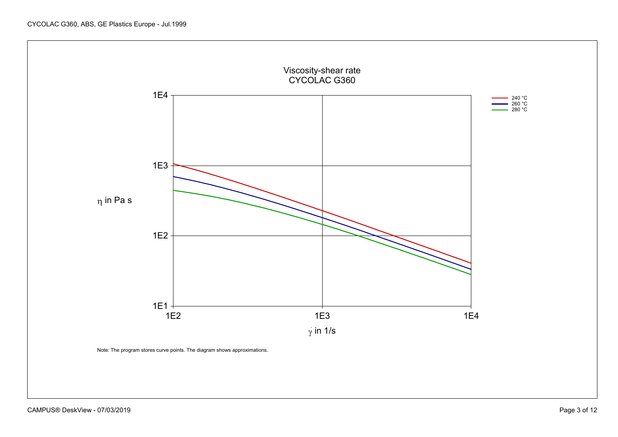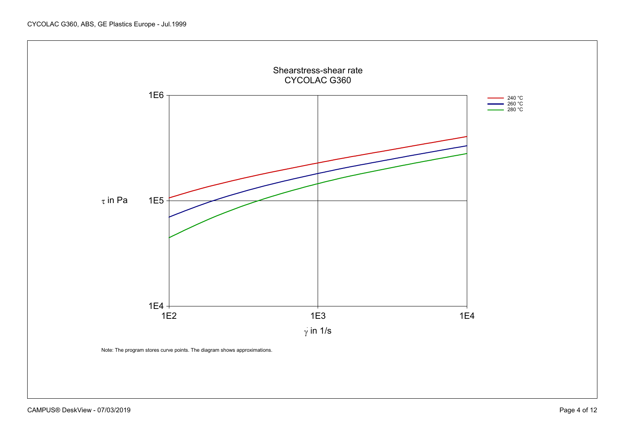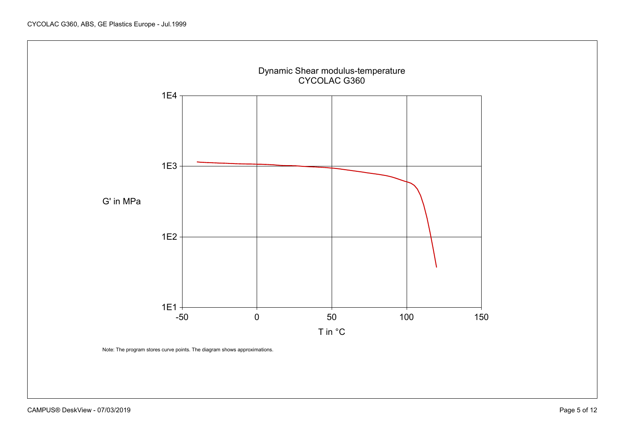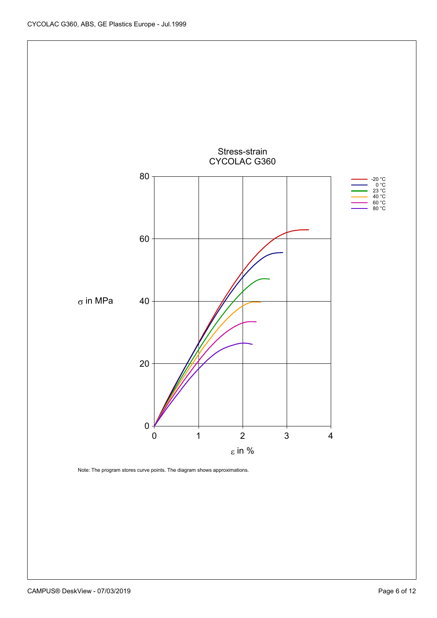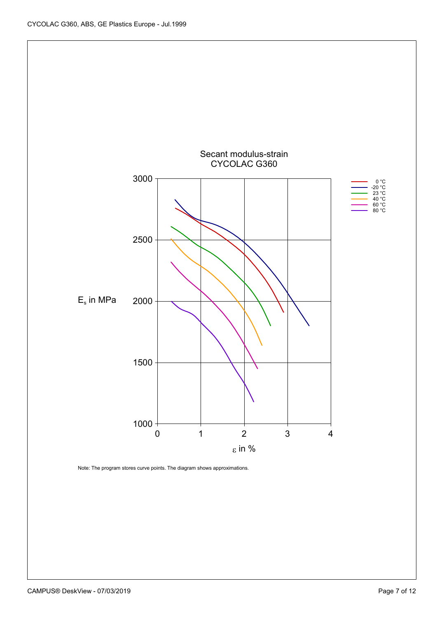

Note: The program stores curve points. The diagram shows approximations.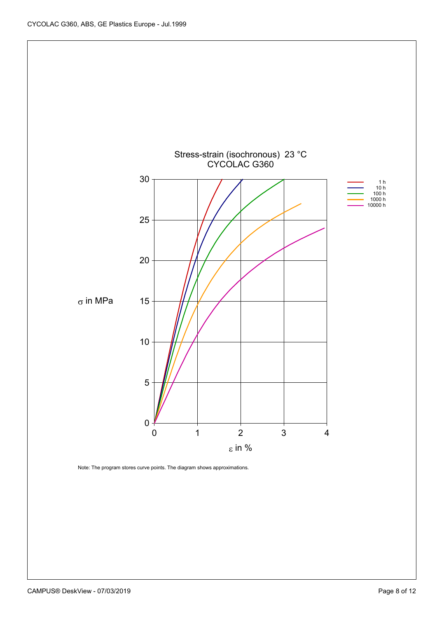

Note: The program stores curve points. The diagram shows approximations.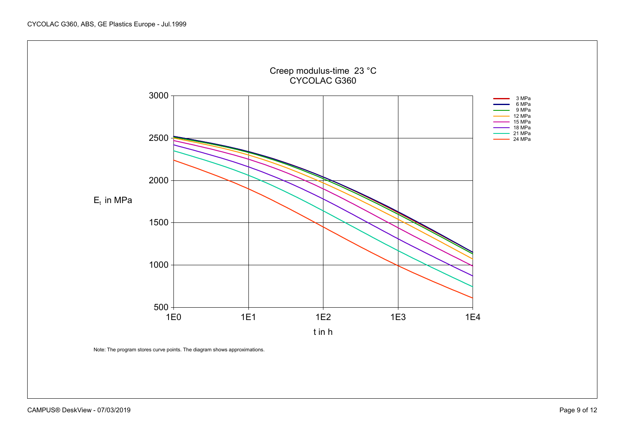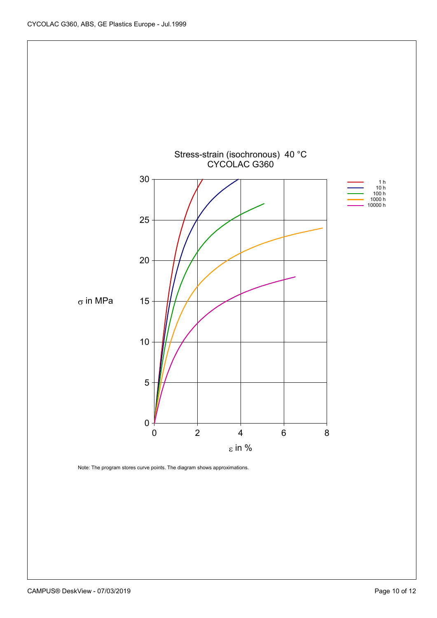![](_page_9_Figure_1.jpeg)

Note: The program stores curve points. The diagram shows approximations.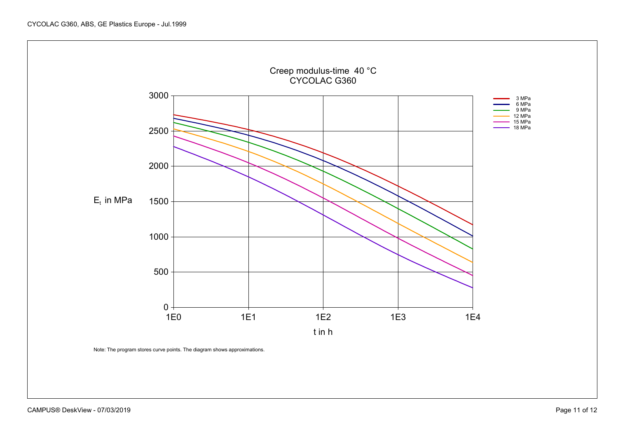![](_page_10_Figure_1.jpeg)